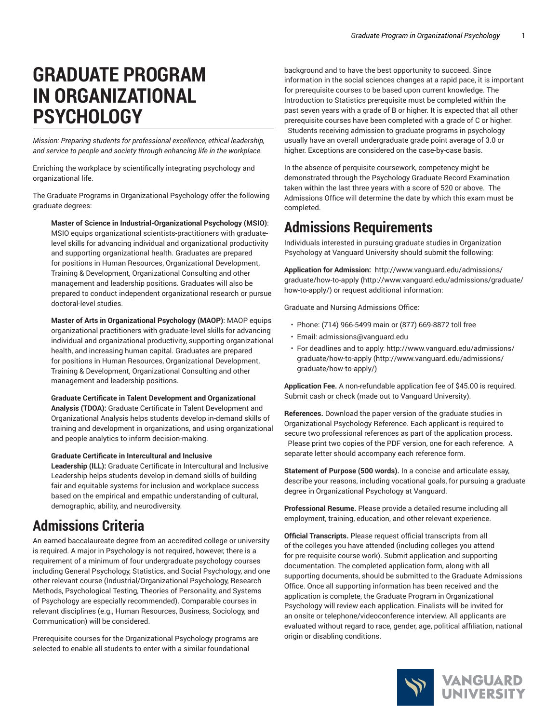# **GRADUATE PROGRAM IN ORGANIZATIONAL PSYCHOLOGY**

*Mission: Preparing students for professional excellence, ethical leadership, and service to people and society through enhancing life in the workplace.*

Enriching the workplace by scientifically integrating psychology and organizational life.

The Graduate Programs in Organizational Psychology offer the following graduate degrees:

**Master of Science in Industrial-Organizational Psychology (MSIO)**: MSIO equips organizational scientists-practitioners with graduatelevel skills for advancing individual and organizational productivity and supporting organizational health. Graduates are prepared for positions in Human Resources, Organizational Development, Training & Development, Organizational Consulting and other management and leadership positions. Graduates will also be prepared to conduct independent organizational research or pursue doctoral-level studies.

**Master of Arts in Organizational Psychology (MAOP)**: MAOP equips organizational practitioners with graduate-level skills for advancing individual and organizational productivity, supporting organizational health, and increasing human capital. Graduates are prepared for positions in Human Resources, Organizational Development, Training & Development, Organizational Consulting and other management and leadership positions.

**Graduate Certificate in Talent Development and Organizational**

**Analysis (TDOA):** Graduate Certificate in Talent Development and Organizational Analysis helps students develop in-demand skills of training and development in organizations, and using organizational and people analytics to inform decision-making.

**Graduate Certificate in Intercultural and Inclusive**

**Leadership (ILL):** Graduate Certificate in Intercultural and Inclusive Leadership helps students develop in-demand skills of building fair and equitable systems for inclusion and workplace success based on the empirical and empathic understanding of cultural, demographic, ability, and neurodiversity.

### **Admissions Criteria**

An earned baccalaureate degree from an accredited college or university is required. A major in Psychology is not required, however, there is a requirement of a minimum of four undergraduate psychology courses including General Psychology, Statistics, and Social Psychology, and one other relevant course (Industrial/Organizational Psychology, Research Methods, Psychological Testing, Theories of Personality, and Systems of Psychology are especially recommended). Comparable courses in relevant disciplines (e.g., Human Resources, Business, Sociology, and Communication) will be considered.

Prerequisite courses for the Organizational Psychology programs are selected to enable all students to enter with a similar foundational

background and to have the best opportunity to succeed. Since information in the social sciences changes at a rapid pace, it is important for prerequisite courses to be based upon current knowledge. The Introduction to Statistics prerequisite must be completed within the past seven years with a grade of B or higher. It is expected that all other prerequisite courses have been completed with a grade of C or higher. Students receiving admission to graduate programs in psychology usually have an overall undergraduate grade point average of 3.0 or higher. Exceptions are considered on the case-by-case basis.

In the absence of perquisite coursework, competency might be demonstrated through the Psychology Graduate Record Examination taken within the last three years with a score of 520 or above. The Admissions Office will determine the date by which this exam must be completed.

### **Admissions Requirements**

Individuals interested in pursuing graduate studies in Organization Psychology at Vanguard University should submit the following:

**Application for Admission:**  [http://www.vanguard.edu/admissions/](http://www.vanguard.edu/admissions/graduate/how-to-apply/) [graduate/how-to-apply](http://www.vanguard.edu/admissions/graduate/how-to-apply/) ([http://www.vanguard.edu/admissions/graduate/](http://www.vanguard.edu/admissions/graduate/how-to-apply/) [how-to-apply/](http://www.vanguard.edu/admissions/graduate/how-to-apply/)) or request additional information:

Graduate and Nursing Admissions Office:

- Phone: (714) 966-5499 main or (877) 669-8872 toll free
- Email: [admissions@vanguard.edu](mailto:admissions@vanguard.edu)
- For deadlines and to apply: [http://www.vanguard.edu/admissions/](http://www.vanguard.edu/admissions/graduate/how-to-apply/) [graduate/how-to-apply](http://www.vanguard.edu/admissions/graduate/how-to-apply/) ([http://www.vanguard.edu/admissions/](http://www.vanguard.edu/admissions/graduate/how-to-apply/) [graduate/how-to-apply/](http://www.vanguard.edu/admissions/graduate/how-to-apply/))

**Application Fee.** A non-refundable application fee of \$45.00 is required. Submit cash or check (made out to Vanguard University).

**References.** Download the paper version of the graduate studies in Organizational Psychology Reference. Each applicant is required to secure two professional references as part of the application process. Please print two copies of the PDF version, one for each reference. A separate letter should accompany each reference form.

**Statement of Purpose (500 words).** In a concise and articulate essay, describe your reasons, including vocational goals, for pursuing a graduate degree in Organizational Psychology at Vanguard.

**Professional Resume.** Please provide a detailed resume including all employment, training, education, and other relevant experience.

**Official Transcripts.** Please request official transcripts from all of the colleges you have attended (including colleges you attend for pre-requisite course work). Submit application and supporting documentation. The completed application form, along with all supporting documents, should be submitted to the Graduate Admissions Office. Once all supporting information has been received and the application is complete, the Graduate Program in Organizational Psychology will review each application. Finalists will be invited for an onsite or telephone/videoconference interview. All applicants are evaluated without regard to race, gender, age, political affiliation, national origin or disabling conditions.

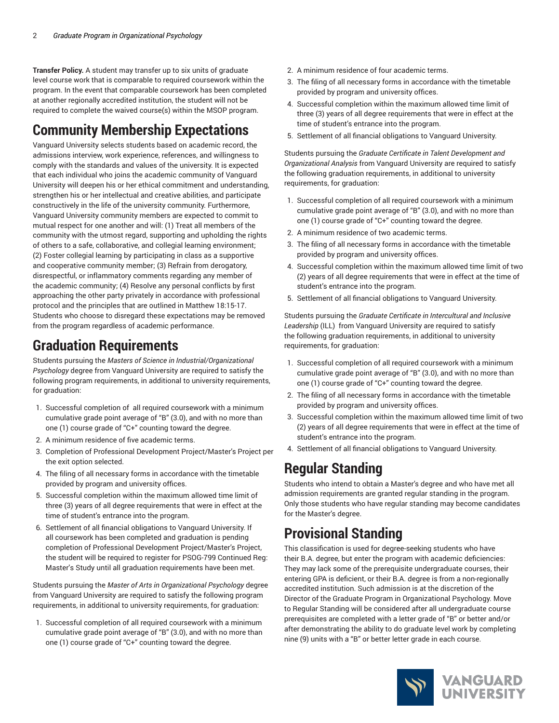**Transfer Policy.** A student may transfer up to six units of graduate level course work that is comparable to required coursework within the program. In the event that comparable coursework has been completed at another regionally accredited institution, the student will not be required to complete the waived course(s) within the MSOP program.

## **Community Membership Expectations**

Vanguard University selects students based on academic record, the admissions interview, work experience, references, and willingness to comply with the standards and values of the university. It is expected that each individual who joins the academic community of Vanguard University will deepen his or her ethical commitment and understanding, strengthen his or her intellectual and creative abilities, and participate constructively in the life of the university community. Furthermore, Vanguard University community members are expected to commit to mutual respect for one another and will: (1) Treat all members of the community with the utmost regard, supporting and upholding the rights of others to a safe, collaborative, and collegial learning environment; (2) Foster collegial learning by participating in class as a supportive and cooperative community member; (3) Refrain from derogatory, disrespectful, or inflammatory comments regarding any member of the academic community; (4) Resolve any personal conflicts by first approaching the other party privately in accordance with professional protocol and the principles that are outlined in Matthew 18:15-17. Students who choose to disregard these expectations may be removed from the program regardless of academic performance.

### **Graduation Requirements**

Students pursuing the *Masters of Science in Industrial/Organizational Psychology* degree from Vanguard University are required to satisfy the following program requirements, in additional to university requirements, for graduation:

- 1. Successful completion of all required coursework with a minimum cumulative grade point average of "B" (3.0), and with no more than one (1) course grade of "C+" counting toward the degree.
- 2. A minimum residence of five academic terms.
- 3. Completion of Professional Development Project/Master's Project per the exit option selected.
- 4. The filing of all necessary forms in accordance with the timetable provided by program and university offices.
- 5. Successful completion within the maximum allowed time limit of three (3) years of all degree requirements that were in effect at the time of student's entrance into the program.
- 6. Settlement of all financial obligations to Vanguard University. If all coursework has been completed and graduation is pending completion of Professional Development Project/Master's Project, the student will be required to register for PSOG-799 Continued Reg: Master's Study until all graduation requirements have been met.

Students pursuing the *Master of Arts in Organizational Psychology* degree from Vanguard University are required to satisfy the following program requirements, in additional to university requirements, for graduation:

1. Successful completion of all required coursework with a minimum cumulative grade point average of "B" (3.0), and with no more than one (1) course grade of "C+" counting toward the degree.

- 2. A minimum residence of four academic terms.
- 3. The filing of all necessary forms in accordance with the timetable provided by program and university offices.
- 4. Successful completion within the maximum allowed time limit of three (3) years of all degree requirements that were in effect at the time of student's entrance into the program.
- 5. Settlement of all financial obligations to Vanguard University.

Students pursuing the *Graduate Certificate in Talent Development and Organizational Analysis* from Vanguard University are required to satisfy the following graduation requirements, in additional to university requirements, for graduation:

- 1. Successful completion of all required coursework with a minimum cumulative grade point average of "B" (3.0), and with no more than one (1) course grade of "C+" counting toward the degree.
- 2. A minimum residence of two academic terms.
- 3. The filing of all necessary forms in accordance with the timetable provided by program and university offices.
- 4. Successful completion within the maximum allowed time limit of two (2) years of all degree requirements that were in effect at the time of student's entrance into the program.
- 5. Settlement of all financial obligations to Vanguard University.

Students pursuing the *Graduate Certificate in Intercultural and Inclusive Leadership* (ILL) from Vanguard University are required to satisfy the following graduation requirements, in additional to university requirements, for graduation:

- 1. Successful completion of all required coursework with a minimum cumulative grade point average of "B" (3.0), and with no more than one (1) course grade of "C+" counting toward the degree.
- 2. The filing of all necessary forms in accordance with the timetable provided by program and university offices.
- 3. Successful completion within the maximum allowed time limit of two (2) years of all degree requirements that were in effect at the time of student's entrance into the program.
- 4. Settlement of all financial obligations to Vanguard University.

### **Regular Standing**

Students who intend to obtain a Master's degree and who have met all admission requirements are granted regular standing in the program. Only those students who have regular standing may become candidates for the Master's degree.

### **Provisional Standing**

This classification is used for degree-seeking students who have their B.A. degree, but enter the program with academic deficiencies: They may lack some of the prerequisite undergraduate courses, their entering GPA is deficient, or their B.A. degree is from a non-regionally accredited institution. Such admission is at the discretion of the Director of the Graduate Program in Organizational Psychology. Move to Regular Standing will be considered after all undergraduate course prerequisites are completed with a letter grade of "B" or better and/or after demonstrating the ability to do graduate level work by completing nine (9) units with a "B" or better letter grade in each course.

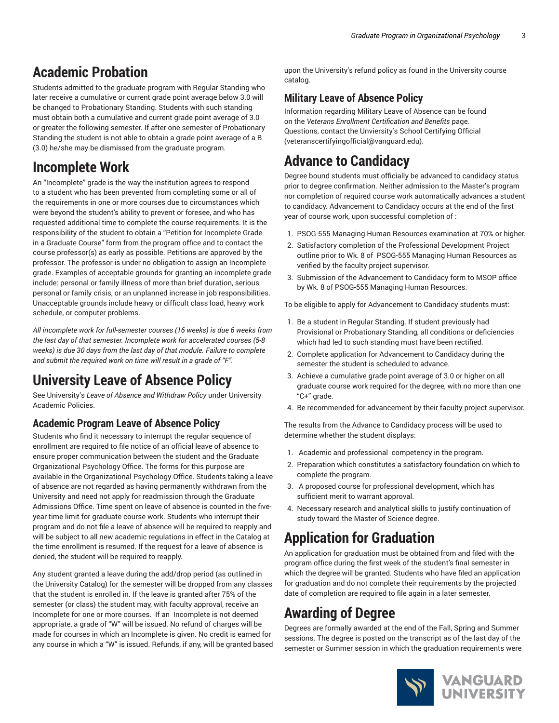## **Academic Probation**

Students admitted to the graduate program with Regular Standing who later receive a cumulative or current grade point average below 3.0 will be changed to Probationary Standing. Students with such standing must obtain both a cumulative and current grade point average of 3.0 or greater the following semester. If after one semester of Probationary Standing the student is not able to obtain a grade point average of a B (3.0) he/she may be dismissed from the graduate program.

## **Incomplete Work**

An "Incomplete" grade is the way the institution agrees to respond to a student who has been prevented from completing some or all of the requirements in one or more courses due to circumstances which were beyond the student's ability to prevent or foresee, and who has requested additional time to complete the course requirements. It is the responsibility of the student to obtain a "Petition for Incomplete Grade in a Graduate Course" form from the program office and to contact the course professor(s) as early as possible. Petitions are approved by the professor. The professor is under no obligation to assign an Incomplete grade. Examples of acceptable grounds for granting an incomplete grade include: personal or family illness of more than brief duration, serious personal or family crisis, or an unplanned increase in job responsibilities. Unacceptable grounds include heavy or difficult class load, heavy work schedule, or computer problems.

*All incomplete work for full-semester courses (16 weeks) is due 6 weeks from the last day of that semester. Incomplete work for accelerated courses (5-8 weeks) is due 30 days from the last day of that module. Failure to complete and submit the required work on time will result in a grade of "F".*

# **University Leave of Absence Policy**

See University's *Leave of Absence and Withdraw Policy* under University Academic Policies.

### **Academic Program Leave of Absence Policy**

Students who find it necessary to interrupt the regular sequence of enrollment are required to file notice of an official leave of absence to ensure proper communication between the student and the Graduate Organizational Psychology Office. The forms for this purpose are available in the Organizational Psychology Office. Students taking a leave of absence are not regarded as having permanently withdrawn from the University and need not apply for readmission through the Graduate Admissions Office. Time spent on leave of absence is counted in the fiveyear time limit for graduate course work. Students who interrupt their program and do not file a leave of absence will be required to reapply and will be subject to all new academic regulations in effect in the Catalog at the time enrollment is resumed. If the request for a leave of absence is denied, the student will be required to reapply.

Any student granted a leave during the add/drop period (as outlined in the University Catalog) for the semester will be dropped from any classes that the student is enrolled in. If the leave is granted after 75% of the semester (or class) the student may, with faculty approval, receive an Incomplete for one or more courses. If an Incomplete is not deemed appropriate, a grade of "W" will be issued. No refund of charges will be made for courses in which an Incomplete is given. No credit is earned for any course in which a "W" is issued. Refunds, if any, will be granted based

upon the University's refund policy as found in the University course catalog.

### **Military Leave of Absence Policy**

Information regarding Military Leave of Absence can be found on the *Veterans Enrollment Certification and Benefits* page. Questions, contact the Unviersity's School [Certifying](mailto:veteranscertifyingofficial@vanguard.edu) Official [\(veteranscertifyingofficial@vanguard.edu\)](veteranscertifyingofficial@vanguard.edu).

# **Advance to Candidacy**

Degree bound students must officially be advanced to candidacy status prior to degree confirmation. Neither admission to the Master's program nor completion of required course work automatically advances a student to candidacy. Advancement to Candidacy occurs at the end of the first year of course work, upon successful completion of :

- 1. PSOG-555 Managing Human Resources examination at 70% or higher.
- 2. Satisfactory completion of the Professional Development Project outline prior to Wk. 8 of PSOG-555 Managing Human Resources as verified by the faculty project supervisor.
- 3. Submission of the Advancement to Candidacy form to MSOP office by Wk. 8 of PSOG-555 Managing Human Resources.

To be eligible to apply for Advancement to Candidacy students must:

- 1. Be a student in Regular Standing. If student previously had Provisional or Probationary Standing, all conditions or deficiencies which had led to such standing must have been rectified.
- 2. Complete application for Advancement to Candidacy during the semester the student is scheduled to advance.
- 3. Achieve a cumulative grade point average of 3.0 or higher on all graduate course work required for the degree, with no more than one "C+" grade.
- 4. Be recommended for advancement by their faculty project supervisor.

The results from the Advance to Candidacy process will be used to determine whether the student displays:

- 1. Academic and professional competency in the program.
- 2. Preparation which constitutes a satisfactory foundation on which to complete the program.
- 3. A proposed course for professional development, which has sufficient merit to warrant approval.
- 4. Necessary research and analytical skills to justify continuation of study toward the Master of Science degree.

# **Application for Graduation**

An application for graduation must be obtained from and filed with the program office during the first week of the student's final semester in which the degree will be granted. Students who have filed an application for graduation and do not complete their requirements by the projected date of completion are required to file again in a later semester.

# **Awarding of Degree**

Degrees are formally awarded at the end of the Fall, Spring and Summer sessions. The degree is posted on the transcript as of the last day of the semester or Summer session in which the graduation requirements were

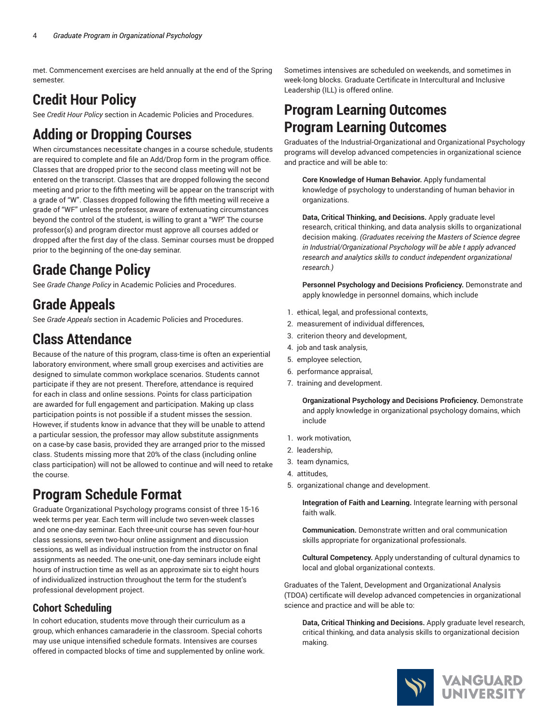met. Commencement exercises are held annually at the end of the Spring semester.

## **Credit Hour Policy**

See *Credit Hour Policy* section in Academic Policies and Procedures.

## **Adding or Dropping Courses**

When circumstances necessitate changes in a course schedule, students are required to complete and file an Add/Drop form in the program office. Classes that are dropped prior to the second class meeting will not be entered on the transcript. Classes that are dropped following the second meeting and prior to the fifth meeting will be appear on the transcript with a grade of "W". Classes dropped following the fifth meeting will receive a grade of "WF" unless the professor, aware of extenuating circumstances beyond the control of the student, is willing to grant a "WP." The course professor(s) and program director must approve all courses added or dropped after the first day of the class. Seminar courses must be dropped prior to the beginning of the one-day seminar.

## **Grade Change Policy**

See *Grade Change Policy* in Academic Policies and Procedures.

## **Grade Appeals**

See *Grade Appeals* section in Academic Policies and Procedures.

### **Class Attendance**

Because of the nature of this program, class-time is often an experiential laboratory environment, where small group exercises and activities are designed to simulate common workplace scenarios. Students cannot participate if they are not present. Therefore, attendance is required for each in class and online sessions. Points for class participation are awarded for full engagement and participation. Making up class participation points is not possible if a student misses the session. However, if students know in advance that they will be unable to attend a particular session, the professor may allow substitute assignments on a case-by case basis, provided they are arranged prior to the missed class. Students missing more that 20% of the class (including online class participation) will not be allowed to continue and will need to retake the course.

## **Program Schedule Format**

Graduate Organizational Psychology programs consist of three 15-16 week terms per year. Each term will include two seven-week classes and one one-day seminar. Each three-unit course has seven four-hour class sessions, seven two-hour online assignment and discussion sessions, as well as individual instruction from the instructor on final assignments as needed. The one-unit, one-day seminars include eight hours of instruction time as well as an approximate six to eight hours of individualized instruction throughout the term for the student's professional development project.

### **Cohort Scheduling**

In cohort education, students move through their curriculum as a group, which enhances camaraderie in the classroom. Special cohorts may use unique intensified schedule formats. Intensives are courses offered in compacted blocks of time and supplemented by online work.

Sometimes intensives are scheduled on weekends, and sometimes in week-long blocks. Graduate Certificate in Intercultural and Inclusive Leadership (ILL) is offered online.

### **Program Learning Outcomes Program Learning Outcomes**

Graduates of the Industrial-Organizational and Organizational Psychology programs will develop advanced competencies in organizational science and practice and will be able to:

**Core Knowledge of Human Behavior.** Apply fundamental knowledge of psychology to understanding of human behavior in organizations.

**Data, Critical Thinking, and Decisions.** Apply graduate level research, critical thinking, and data analysis skills to organizational decision making. *(Graduates receiving the Masters of Science degree in Industrial/Organizational Psychology will be able t apply advanced research and analytics skills to conduct independent organizational research.)*

**Personnel Psychology and Decisions Proficiency.** Demonstrate and apply knowledge in personnel domains, which include

- 1. ethical, legal, and professional contexts,
- 2. measurement of individual differences,
- 3. criterion theory and development,
- 4. job and task analysis,
- 5. employee selection,
- 6. performance appraisal,
- 7. training and development.

**Organizational Psychology and Decisions Proficiency.** Demonstrate and apply knowledge in organizational psychology domains, which include

- 1. work motivation,
- 2. leadership,
- 3. team dynamics,
- 4. attitudes,
- 5. organizational change and development.

**Integration of Faith and Learning.** Integrate learning with personal faith walk.

**Communication.** Demonstrate written and oral communication skills appropriate for organizational professionals.

**Cultural Competency.** Apply understanding of cultural dynamics to local and global organizational contexts.

Graduates of the Talent, Development and Organizational Analysis (TDOA) certificate will develop advanced competencies in organizational science and practice and will be able to:

**Data, Critical Thinking and Decisions.** Apply graduate level research, critical thinking, and data analysis skills to organizational decision making.

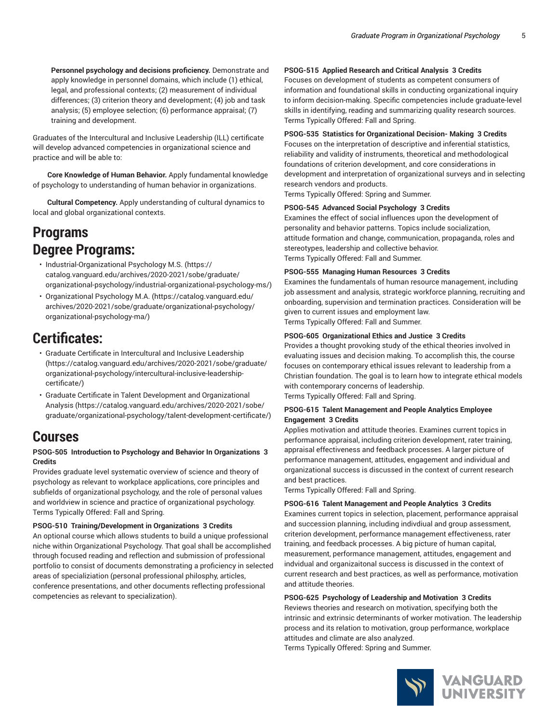**Personnel psychology and decisions proficiency.** Demonstrate and apply knowledge in personnel domains, which include (1) ethical, legal, and professional contexts; (2) measurement of individual differences; (3) criterion theory and development; (4) job and task analysis; (5) employee selection; (6) performance appraisal; (7) training and development.

Graduates of the Intercultural and Inclusive Leadership (ILL) certificate will develop advanced competencies in organizational science and practice and will be able to:

**Core Knowledge of Human Behavior.** Apply fundamental knowledge of psychology to understanding of human behavior in organizations.

 **Cultural Competency.** Apply understanding of cultural dynamics to local and global organizational contexts.

### **Programs Degree Programs:**

- [Industrial-Organizational](https://catalog.vanguard.edu/archives/2020-2021/sobe/graduate/organizational-psychology/industrial-organizational-psychology-ms/) Psychology M.S. ([https://](https://catalog.vanguard.edu/archives/2020-2021/sobe/graduate/organizational-psychology/industrial-organizational-psychology-ms/) [catalog.vanguard.edu/archives/2020-2021/sobe/graduate/](https://catalog.vanguard.edu/archives/2020-2021/sobe/graduate/organizational-psychology/industrial-organizational-psychology-ms/) [organizational-psychology/industrial-organizational-psychology-ms/](https://catalog.vanguard.edu/archives/2020-2021/sobe/graduate/organizational-psychology/industrial-organizational-psychology-ms/))
- [Organizational](https://catalog.vanguard.edu/archives/2020-2021/sobe/graduate/organizational-psychology/organizational-psychology-ma/) Psychology M.A. [\(https://catalog.vanguard.edu/](https://catalog.vanguard.edu/archives/2020-2021/sobe/graduate/organizational-psychology/organizational-psychology-ma/) [archives/2020-2021/sobe/graduate/organizational-psychology/](https://catalog.vanguard.edu/archives/2020-2021/sobe/graduate/organizational-psychology/organizational-psychology-ma/) [organizational-psychology-ma/\)](https://catalog.vanguard.edu/archives/2020-2021/sobe/graduate/organizational-psychology/organizational-psychology-ma/)

### **Certificates:**

- Graduate Certificate in [Intercultural](https://catalog.vanguard.edu/archives/2020-2021/sobe/graduate/organizational-psychology/intercultural-inclusive-leadership-certificate/) and Inclusive Leadership ([https://catalog.vanguard.edu/archives/2020-2021/sobe/graduate/](https://catalog.vanguard.edu/archives/2020-2021/sobe/graduate/organizational-psychology/intercultural-inclusive-leadership-certificate/) [organizational-psychology/intercultural-inclusive-leadership](https://catalog.vanguard.edu/archives/2020-2021/sobe/graduate/organizational-psychology/intercultural-inclusive-leadership-certificate/)[certificate/](https://catalog.vanguard.edu/archives/2020-2021/sobe/graduate/organizational-psychology/intercultural-inclusive-leadership-certificate/))
- Graduate Certificate in Talent Development and [Organizational](https://catalog.vanguard.edu/archives/2020-2021/sobe/graduate/organizational-psychology/talent-development-certificate/) [Analysis](https://catalog.vanguard.edu/archives/2020-2021/sobe/graduate/organizational-psychology/talent-development-certificate/) [\(https://catalog.vanguard.edu/archives/2020-2021/sobe/](https://catalog.vanguard.edu/archives/2020-2021/sobe/graduate/organizational-psychology/talent-development-certificate/) [graduate/organizational-psychology/talent-development-certificate/](https://catalog.vanguard.edu/archives/2020-2021/sobe/graduate/organizational-psychology/talent-development-certificate/))

### **Courses**

### **PSOG-505 Introduction to Psychology and Behavior In Organizations 3 Credits**

Provides graduate level systematic overview of science and theory of psychology as relevant to workplace applications, core principles and subfields of organizational psychology, and the role of personal values and worldview in science and practice of organizational psychology. Terms Typically Offered: Fall and Spring.

### **PSOG-510 Training/Development in Organizations 3 Credits**

An optional course which allows students to build a unique professional niche within Organizational Psychology. That goal shall be accomplished through focused reading and reflection and submission of professional portfolio to consist of documents demonstrating a proficiency in selected areas of specializiation (personal professional philosphy, articles, conference presentations, and other documents reflecting professional competencies as relevant to specialization).

#### **PSOG-515 Applied Research and Critical Analysis 3 Credits**

Focuses on development of students as competent consumers of information and foundational skills in conducting organizational inquiry to inform decision-making. Specific competencies include graduate-level skills in identifying, reading and summarizing quality research sources. Terms Typically Offered: Fall and Spring.

#### **PSOG-535 Statistics for Organizational Decision- Making 3 Credits**

Focuses on the interpretation of descriptive and inferential statistics, reliability and validity of instruments, theoretical and methodological foundations of criterion development, and core considerations in development and interpretation of organizational surveys and in selecting research vendors and products.

Terms Typically Offered: Spring and Summer.

#### **PSOG-545 Advanced Social Psychology 3 Credits**

Examines the effect of social influences upon the development of personality and behavior patterns. Topics include socialization, attitude formation and change, communication, propaganda, roles and stereotypes, leadership and collective behavior. Terms Typically Offered: Fall and Summer.

#### **PSOG-555 Managing Human Resources 3 Credits**

Examines the fundamentals of human resource management, including job assessment and analysis, strategic workforce planning, recruiting and onboarding, supervision and termination practices. Consideration will be given to current issues and employment law. Terms Typically Offered: Fall and Summer.

#### **PSOG-605 Organizational Ethics and Justice 3 Credits**

Provides a thought provoking study of the ethical theories involved in evaluating issues and decision making. To accomplish this, the course focuses on contemporary ethical issues relevant to leadership from a Christian foundation. The goal is to learn how to integrate ethical models with contemporary concerns of leadership. Terms Typically Offered: Fall and Spring.

**PSOG-615 Talent Management and People Analytics Employee Engagement 3 Credits**

Applies motivation and attitude theories. Examines current topics in performance appraisal, including criterion development, rater training, appraisal effectiveness and feedback processes. A larger picture of performance management, attitudes, engagement and individual and organizational success is discussed in the context of current research and best practices.

Terms Typically Offered: Fall and Spring.

#### **PSOG-616 Talent Management and People Analytics 3 Credits**

Examines current topics in selection, placement, performance appraisal and succession planning, including indivdiual and group assessment, criterion development, performance management effectiveness, rater training, and feedback processes. A big picture of human capital, measurement, performance management, attitudes, engagement and indvidual and organizaitonal success is discussed in the context of current research and best practices, as well as performance, motivation and attitude theories.

#### **PSOG-625 Psychology of Leadership and Motivation 3 Credits**

Reviews theories and research on motivation, specifying both the intrinsic and extrinsic determinants of worker motivation. The leadership process and its relation to motivation, group performance, workplace attitudes and climate are also analyzed.

Terms Typically Offered: Spring and Summer.